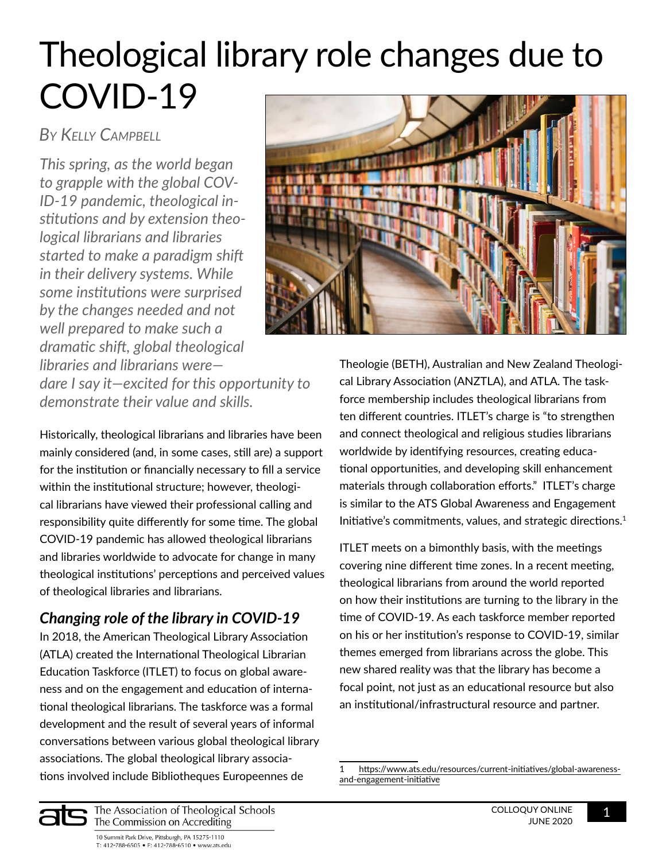## Theological library role changes due to COVID-19

*By Kelly Campbell*

*This spring, as the world began to grapple with the global COV-ID-19 pandemic, theological institutions and by extension theological librarians and libraries started to make a paradigm shift in their delivery systems. While some institutions were surprised by the changes needed and not well prepared to make such a dramatic shift, global theological libraries and librarians were dare I say it—excited for this opportunity to demonstrate their value and skills.*

Historically, theological librarians and libraries have been mainly considered (and, in some cases, still are) a support for the institution or financially necessary to fill a service within the institutional structure; however, theological librarians have viewed their professional calling and responsibility quite differently for some time. The global COVID-19 pandemic has allowed theological librarians and libraries worldwide to advocate for change in many theological institutions' perceptions and perceived values of theological libraries and librarians.

## *Changing role of the library in COVID-19*

In 2018, the American Theological Library Association (ATLA) created the International Theological Librarian Education Taskforce (ITLET) to focus on global awareness and on the engagement and education of international theological librarians. The taskforce was a formal development and the result of several years of informal conversations between various global theological library associations. The global theological library associations involved include Bibliotheques Europeennes de



Theologie (BETH), Australian and New Zealand Theological Library Association (ANZTLA), and ATLA. The taskforce membership includes theological librarians from ten different countries. ITLET's charge is "to strengthen and connect theological and religious studies librarians worldwide by identifying resources, creating educational opportunities, and developing skill enhancement materials through collaboration efforts." ITLET's charge is similar to the ATS Global Awareness and Engagement Initiative's commitments, values, and strategic directions.<sup>1</sup>

ITLET meets on a bimonthly basis, with the meetings covering nine different time zones. In a recent meeting, theological librarians from around the world reported on how their institutions are turning to the library in the time of COVID-19. As each taskforce member reported on his or her institution's response to COVID-19, similar themes emerged from librarians across the globe. This new shared reality was that the library has become a focal point, not just as an educational resource but also an institutional/infrastructural resource and partner.



10 Summit Park Drive, Pittsburgh, PA 15275-1110 T: 412-788-6505 • F: 412-788-6510 • www.ats.edu

<sup>1</sup> [https://www.ats.edu/resources/current-initiatives/global-awareness](https://www.ats.edu/resources/current-initiatives/global-awareness-and-engagement-initiative)[and-engagement-initiative](https://www.ats.edu/resources/current-initiatives/global-awareness-and-engagement-initiative)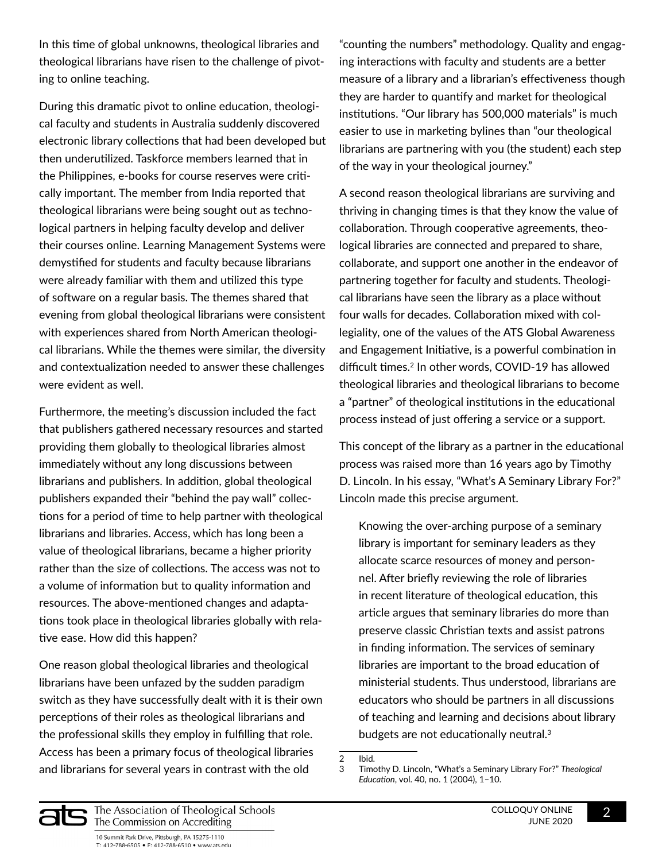In this time of global unknowns, theological libraries and theological librarians have risen to the challenge of pivoting to online teaching.

During this dramatic pivot to online education, theological faculty and students in Australia suddenly discovered electronic library collections that had been developed but then underutilized. Taskforce members learned that in the Philippines, e-books for course reserves were critically important. The member from India reported that theological librarians were being sought out as technological partners in helping faculty develop and deliver their courses online. Learning Management Systems were demystified for students and faculty because librarians were already familiar with them and utilized this type of software on a regular basis. The themes shared that evening from global theological librarians were consistent with experiences shared from North American theological librarians. While the themes were similar, the diversity and contextualization needed to answer these challenges were evident as well.

Furthermore, the meeting's discussion included the fact that publishers gathered necessary resources and started providing them globally to theological libraries almost immediately without any long discussions between librarians and publishers. In addition, global theological publishers expanded their "behind the pay wall" collections for a period of time to help partner with theological librarians and libraries. Access, which has long been a value of theological librarians, became a higher priority rather than the size of collections. The access was not to a volume of information but to quality information and resources. The above-mentioned changes and adaptations took place in theological libraries globally with relative ease. How did this happen?

One reason global theological libraries and theological librarians have been unfazed by the sudden paradigm switch as they have successfully dealt with it is their own perceptions of their roles as theological librarians and the professional skills they employ in fulfilling that role. Access has been a primary focus of theological libraries and librarians for several years in contrast with the old

"counting the numbers" methodology. Quality and engaging interactions with faculty and students are a better measure of a library and a librarian's effectiveness though they are harder to quantify and market for theological institutions. "Our library has 500,000 materials" is much easier to use in marketing bylines than "our theological librarians are partnering with you (the student) each step of the way in your theological journey."

A second reason theological librarians are surviving and thriving in changing times is that they know the value of collaboration. Through cooperative agreements, theological libraries are connected and prepared to share, collaborate, and support one another in the endeavor of partnering together for faculty and students. Theological librarians have seen the library as a place without four walls for decades. Collaboration mixed with collegiality, one of the values of the ATS Global Awareness and Engagement Initiative, is a powerful combination in difficult times.<sup>2</sup> In other words, COVID-19 has allowed theological libraries and theological librarians to become a "partner" of theological institutions in the educational process instead of just offering a service or a support.

This concept of the library as a partner in the educational process was raised more than 16 years ago by Timothy D. Lincoln. In his essay, "What's A Seminary Library For?" Lincoln made this precise argument.

Knowing the over-arching purpose of a seminary library is important for seminary leaders as they allocate scarce resources of money and personnel. After briefly reviewing the role of libraries in recent literature of theological education, this article argues that seminary libraries do more than preserve classic Christian texts and assist patrons in finding information. The services of seminary libraries are important to the broad education of ministerial students. Thus understood, librarians are educators who should be partners in all discussions of teaching and learning and decisions about library budgets are not educationally neutral.<sup>3</sup>



 $\overline{2}$  Ibid.

<sup>3</sup> Timothy D. Lincoln, "What's a Seminary Library For?" *Theological Education*, vol. 40, no. 1 (2004), 1–10.